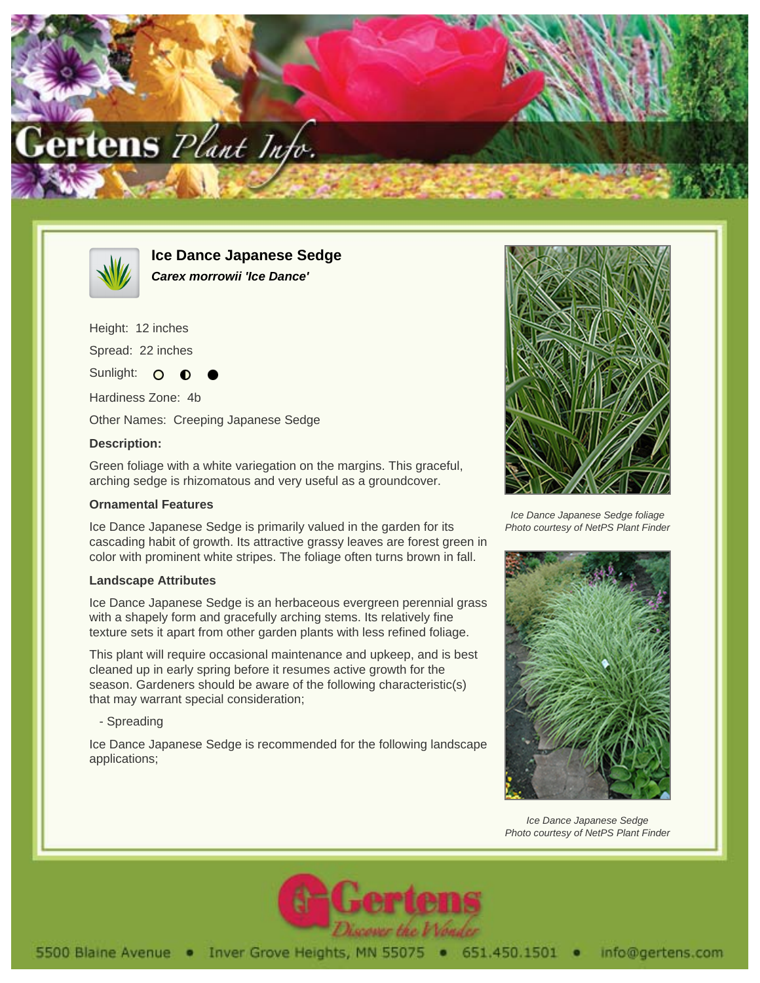



**Ice Dance Japanese Sedge Carex morrowii 'Ice Dance'**

Height: 12 inches

Spread: 22 inches

Sunlight:  $\circ$ 

Hardiness Zone: 4b

Other Names: Creeping Japanese Sedge

## **Description:**

Green foliage with a white variegation on the margins. This graceful, arching sedge is rhizomatous and very useful as a groundcover.

## **Ornamental Features**

Ice Dance Japanese Sedge is primarily valued in the garden for its cascading habit of growth. Its attractive grassy leaves are forest green in color with prominent white stripes. The foliage often turns brown in fall.

## **Landscape Attributes**

Ice Dance Japanese Sedge is an herbaceous evergreen perennial grass with a shapely form and gracefully arching stems. Its relatively fine texture sets it apart from other garden plants with less refined foliage.

This plant will require occasional maintenance and upkeep, and is best cleaned up in early spring before it resumes active growth for the season. Gardeners should be aware of the following characteristic(s) that may warrant special consideration;

- Spreading

Ice Dance Japanese Sedge is recommended for the following landscape applications;



Ice Dance Japanese Sedge foliage Photo courtesy of NetPS Plant Finder



Ice Dance Japanese Sedge Photo courtesy of NetPS Plant Finder